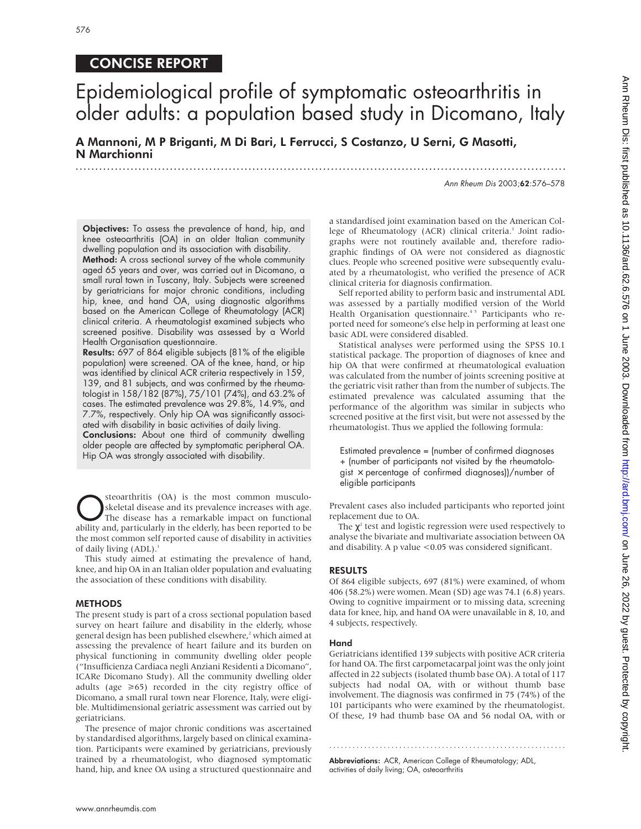## CONCISE REPORT

# Epidemiological profile of symptomatic osteoarthritis in older adults: a population based study in Dicomano, Italy

.............................................................................................................................

A Mannoni, M P Briganti, M Di Bari, L Ferrucci, S Costanzo, U Serni, G Masotti, N Marchionni

Ann Rheum Dis 2003;62:576–578

Objectives: To assess the prevalence of hand, hip, and knee osteoarthritis (OA) in an older Italian community dwelling population and its association with disability.

Method: A cross sectional survey of the whole community aged 65 years and over, was carried out in Dicomano, a small rural town in Tuscany, Italy. Subjects were screened by geriatricians for major chronic conditions, including hip, knee, and hand OA, using diagnostic algorithms based on the American College of Rheumatology (ACR) clinical criteria. A rheumatologist examined subjects who screened positive. Disability was assessed by a World Health Organisation questionnaire.

Results: 697 of 864 eligible subjects (81% of the eligible population) were screened. OA of the knee, hand, or hip was identified by clinical ACR criteria respectively in 159, 139, and 81 subjects, and was confirmed by the rheumatologist in 158/182 (87%), 75/101 (74%), and 63.2% of cases. The estimated prevalence was 29.8%, 14.9%, and 7.7%, respectively. Only hip OA was significantly associated with disability in basic activities of daily living.

Conclusions: About one third of community dwelling older people are affected by symptomatic peripheral OA. Hip OA was strongly associated with disability.

Steoarthritis (OA) is the most common musculo-<br>
Skeletal disease and its prevalence increases with age.<br>
The disease has a remarkable impact on functional<br>
ability and particularly in the elderly has been reported to be skeletal disease and its prevalence increases with age. ability and, particularly in the elderly, has been reported to be the most common self reported cause of disability in activities of daily living  $(ADL)^1$ .

This study aimed at estimating the prevalence of hand, knee, and hip OA in an Italian older population and evaluating the association of these conditions with disability.

### METHODS

The present study is part of a cross sectional population based survey on heart failure and disability in the elderly, whose general design has been published elsewhere,<sup>2</sup> which aimed at assessing the prevalence of heart failure and its burden on physical functioning in community dwelling older people ("Insufficienza Cardiaca negli Anziani Residenti a Dicomano", ICARe Dicomano Study). All the community dwelling older adults (age  $\geq 65$ ) recorded in the city registry office of Dicomano, a small rural town near Florence, Italy, were eligible. Multidimensional geriatric assessment was carried out by geriatricians.

The presence of major chronic conditions was ascertained by standardised algorithms, largely based on clinical examination. Participants were examined by geriatricians, previously trained by a rheumatologist, who diagnosed symptomatic hand, hip, and knee OA using a structured questionnaire and

a standardised joint examination based on the American College of Rheumatology (ACR) clinical criteria.<sup>3</sup> Joint radiographs were not routinely available and, therefore radiographic findings of OA were not considered as diagnostic clues. People who screened positive were subsequently evaluated by a rheumatologist, who verified the presence of ACR clinical criteria for diagnosis confirmation.

Self reported ability to perform basic and instrumental ADL was assessed by a partially modified version of the World Health Organisation questionnaire.<sup>45</sup> Participants who reported need for someone's else help in performing at least one basic ADL were considered disabled.

Statistical analyses were performed using the SPSS 10.1 statistical package. The proportion of diagnoses of knee and hip OA that were confirmed at rheumatological evaluation was calculated from the number of joints screening positive at the geriatric visit rather than from the number of subjects. The estimated prevalence was calculated assuming that the performance of the algorithm was similar in subjects who screened positive at the first visit, but were not assessed by the rheumatologist. Thus we applied the following formula:

Estimated prevalence = (number of confirmed diagnoses + (number of participants not visited by the rheumatologist  $\times$  percentage of confirmed diagnoses))/number of eligible participants

Prevalent cases also included participants who reported joint replacement due to OA.

The  $\chi^2$  test and logistic regression were used respectively to analyse the bivariate and multivariate association between OA and disability. A p value <0.05 was considered significant.

#### RESULTS

Of 864 eligible subjects, 697 (81%) were examined, of whom 406 (58.2%) were women. Mean (SD) age was 74.1 (6.8) years. Owing to cognitive impairment or to missing data, screening data for knee, hip, and hand OA were unavailable in 8, 10, and 4 subjects, respectively.

#### Hand

Geriatricians identified 139 subjects with positive ACR criteria for hand OA. The first carpometacarpal joint was the only joint affected in 22 subjects (isolated thumb base OA). A total of 117 subjects had nodal OA, with or without thumb base involvement. The diagnosis was confirmed in 75 (74%) of the 101 participants who were examined by the rheumatologist. Of these, 19 had thumb base OA and 56 nodal OA, with or

.............................................................

Abbreviations: ACR, American College of Rheumatology; ADL, activities of daily living; OA, osteoarthritis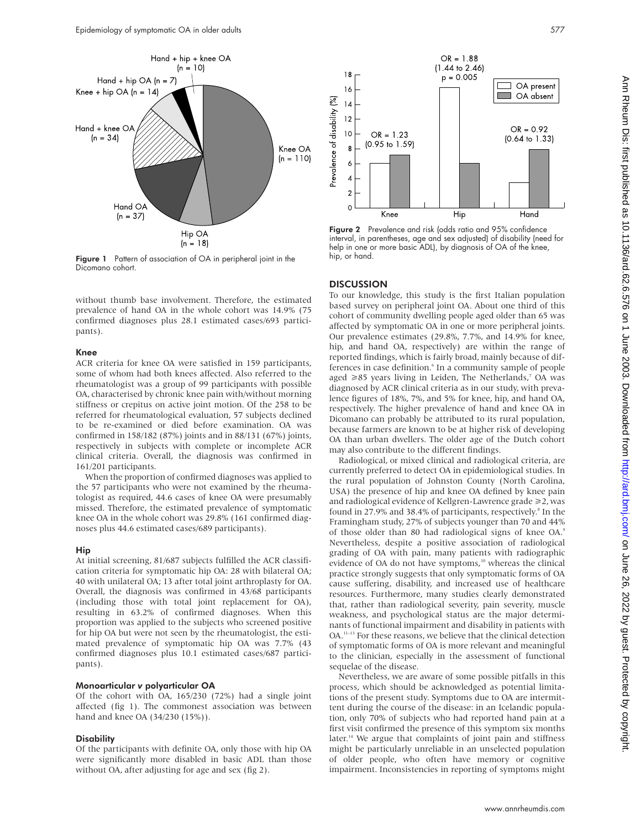

Figure 1 Pattern of association of OA in peripheral joint in the Dicomano cohort.

without thumb base involvement. Therefore, the estimated prevalence of hand OA in the whole cohort was 14.9% (75 confirmed diagnoses plus 28.1 estimated cases/693 participants).

#### Knee

ACR criteria for knee OA were satisfied in 159 participants, some of whom had both knees affected. Also referred to the rheumatologist was a group of 99 participants with possible OA, characterised by chronic knee pain with/without morning stiffness or crepitus on active joint motion. Of the 258 to be referred for rheumatological evaluation, 57 subjects declined to be re-examined or died before examination. OA was confirmed in 158/182 (87%) joints and in 88/131 (67%) joints, respectively in subjects with complete or incomplete ACR clinical criteria. Overall, the diagnosis was confirmed in 161/201 participants.

When the proportion of confirmed diagnoses was applied to the 57 participants who were not examined by the rheumatologist as required, 44.6 cases of knee OA were presumably missed. Therefore, the estimated prevalence of symptomatic knee OA in the whole cohort was 29.8% (161 confirmed diagnoses plus 44.6 estimated cases/689 participants).

#### Hip

At initial screening, 81/687 subjects fulfilled the ACR classification criteria for symptomatic hip OA: 28 with bilateral OA; 40 with unilateral OA; 13 after total joint arthroplasty for OA. Overall, the diagnosis was confirmed in 43/68 participants (including those with total joint replacement for OA), resulting in 63.2% of confirmed diagnoses. When this proportion was applied to the subjects who screened positive for hip OA but were not seen by the rheumatologist, the estimated prevalence of symptomatic hip OA was 7.7% (43 confirmed diagnoses plus 10.1 estimated cases/687 participants).

#### Monoarticular *v* polyarticular OA

Of the cohort with OA, 165/230 (72%) had a single joint affected (fig 1). The commonest association was between hand and knee OA (34/230 (15%)).

#### **Disability**

Of the participants with definite OA, only those with hip OA were significantly more disabled in basic ADL than those without OA, after adjusting for age and sex (fig 2).



Figure 2 Prevalence and risk (odds ratio and 95% confidence interval, in parentheses, age and sex adjusted) of disability (need for help in one or more basic ADL), by diagnosis of OA of the knee, hip, or hand.

#### **DISCUSSION**

To our knowledge, this study is the first Italian population based survey on peripheral joint OA. About one third of this cohort of community dwelling people aged older than 65 was affected by symptomatic OA in one or more peripheral joints. Our prevalence estimates (29.8%, 7.7%, and 14.9% for knee, hip, and hand OA, respectively) are within the range of reported findings, which is fairly broad, mainly because of differences in case definition.<sup>6</sup> In a community sample of people aged  $\geq 85$  years living in Leiden, The Netherlands,<sup>7</sup> OA was diagnosed by ACR clinical criteria as in our study, with prevalence figures of 18%, 7%, and 5% for knee, hip, and hand OA, respectively. The higher prevalence of hand and knee OA in Dicomano can probably be attributed to its rural population, because farmers are known to be at higher risk of developing OA than urban dwellers. The older age of the Dutch cohort may also contribute to the different findings.

Radiological, or mixed clinical and radiological criteria, are currently preferred to detect OA in epidemiological studies. In the rural population of Johnston County (North Carolina, USA) the presence of hip and knee OA defined by knee pain and radiological evidence of Kellgren-Lawrence grade  $\geq 2$ , was found in 27.9% and 38.4% of participants, respectively.<sup>8</sup> In the Framingham study, 27% of subjects younger than 70 and 44% of those older than 80 had radiological signs of knee OA.9 Nevertheless, despite a positive association of radiological grading of OA with pain, many patients with radiographic evidence of OA do not have symptoms,<sup>10</sup> whereas the clinical practice strongly suggests that only symptomatic forms of OA cause suffering, disability, and increased use of healthcare resources. Furthermore, many studies clearly demonstrated that, rather than radiological severity, pain severity, muscle weakness, and psychological status are the major determinants of functional impairment and disability in patients with OA.11–13 For these reasons, we believe that the clinical detection of symptomatic forms of OA is more relevant and meaningful to the clinician, especially in the assessment of functional sequelae of the disease.

Nevertheless, we are aware of some possible pitfalls in this process, which should be acknowledged as potential limitations of the present study. Symptoms due to OA are intermittent during the course of the disease: in an Icelandic population, only 70% of subjects who had reported hand pain at a first visit confirmed the presence of this symptom six months later.<sup>14</sup> We argue that complaints of joint pain and stiffness might be particularly unreliable in an unselected population of older people, who often have memory or cognitive impairment. Inconsistencies in reporting of symptoms might